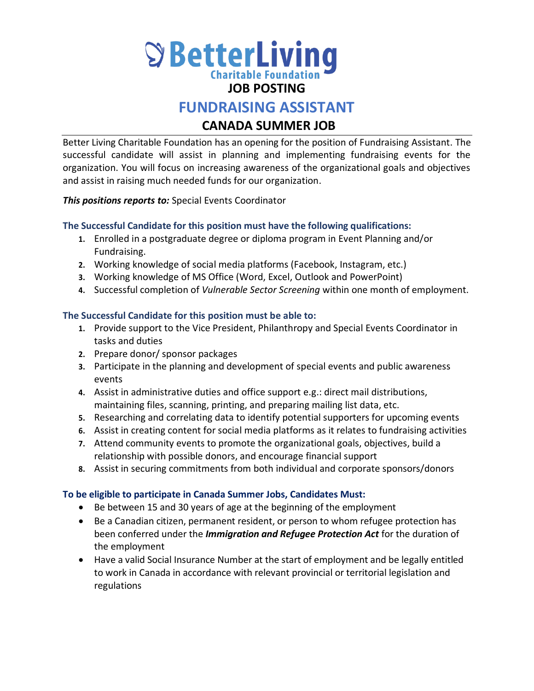

## **JOB POSTING**

# **FUNDRAISING ASSISTANT**

# **CANADA SUMMER JOB**

Better Living Charitable Foundation has an opening for the position of Fundraising Assistant. The successful candidate will assist in planning and implementing fundraising events for the organization. You will focus on increasing awareness of the organizational goals and objectives and assist in raising much needed funds for our organization.

*This positions reports to:* Special Events Coordinator

### **The Successful Candidate for this position must have the following qualifications:**

- **1.** Enrolled in a postgraduate degree or diploma program in Event Planning and/or Fundraising.
- **2.** Working knowledge of social media platforms (Facebook, Instagram, etc.)
- **3.** Working knowledge of MS Office (Word, Excel, Outlook and PowerPoint)
- **4.** Successful completion of *Vulnerable Sector Screening* within one month of employment.

### **The Successful Candidate for this position must be able to:**

- **1.** Provide support to the Vice President, Philanthropy and Special Events Coordinator in tasks and duties
- **2.** Prepare donor/ sponsor packages
- **3.** Participate in the planning and development of special events and public awareness events
- **4.** Assist in administrative duties and office support e.g.: direct mail distributions, maintaining files, scanning, printing, and preparing mailing list data, etc.
- **5.** Researching and correlating data to identify potential supporters for upcoming events
- **6.** Assist in creating content for social media platforms as it relates to fundraising activities
- **7.** Attend community events to promote the organizational goals, objectives, build a relationship with possible donors, and encourage financial support
- **8.** Assist in securing commitments from both individual and corporate sponsors/donors

### **To be eligible to participate in Canada Summer Jobs, Candidates Must:**

- Be between 15 and 30 years of age at the beginning of the employment
- Be a Canadian citizen, permanent resident, or person to whom refugee protection has been conferred under the *Immigration and Refugee Protection Act* for the duration of the employment
- Have a valid Social Insurance Number at the start of employment and be legally entitled to work in Canada in accordance with relevant provincial or territorial legislation and regulations